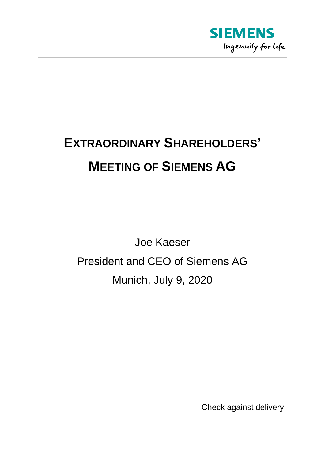

## **EXTRAORDINARY SHAREHOLDERS' MEETING OF SIEMENS AG**

Joe Kaeser President and CEO of Siemens AG Munich, July 9, 2020

Check against delivery.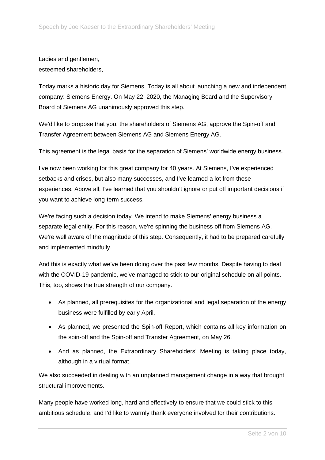Ladies and gentlemen, esteemed shareholders,

Today marks a historic day for Siemens. Today is all about launching a new and independent company: Siemens Energy. On May 22, 2020, the Managing Board and the Supervisory Board of Siemens AG unanimously approved this step.

We'd like to propose that you, the shareholders of Siemens AG, approve the Spin-off and Transfer Agreement between Siemens AG and Siemens Energy AG.

This agreement is the legal basis for the separation of Siemens' worldwide energy business.

I've now been working for this great company for 40 years. At Siemens, I've experienced setbacks and crises, but also many successes, and I've learned a lot from these experiences. Above all, I've learned that you shouldn't ignore or put off important decisions if you want to achieve long-term success.

We're facing such a decision today. We intend to make Siemens' energy business a separate legal entity. For this reason, we're spinning the business off from Siemens AG. We're well aware of the magnitude of this step. Consequently, it had to be prepared carefully and implemented mindfully.

And this is exactly what we've been doing over the past few months. Despite having to deal with the COVID-19 pandemic, we've managed to stick to our original schedule on all points. This, too, shows the true strength of our company.

- As planned, all prerequisites for the organizational and legal separation of the energy business were fulfilled by early April.
- As planned, we presented the Spin-off Report, which contains all key information on the spin-off and the Spin-off and Transfer Agreement, on May 26.
- And as planned, the Extraordinary Shareholders' Meeting is taking place today, although in a virtual format.

We also succeeded in dealing with an unplanned management change in a way that brought structural improvements.

Many people have worked long, hard and effectively to ensure that we could stick to this ambitious schedule, and I'd like to warmly thank everyone involved for their contributions.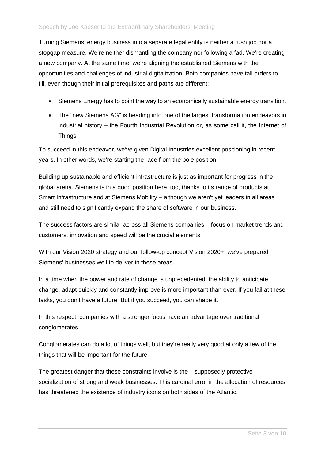Turning Siemens' energy business into a separate legal entity is neither a rush job nor a stopgap measure. We're neither dismantling the company nor following a fad. We're creating a new company. At the same time, we're aligning the established Siemens with the opportunities and challenges of industrial digitalization. Both companies have tall orders to fill, even though their initial prerequisites and paths are different:

- Siemens Energy has to point the way to an economically sustainable energy transition.
- The "new Siemens AG" is heading into one of the largest transformation endeavors in industrial history – the Fourth Industrial Revolution or, as some call it, the Internet of Things.

To succeed in this endeavor, we've given Digital Industries excellent positioning in recent years. In other words, we're starting the race from the pole position.

Building up sustainable and efficient infrastructure is just as important for progress in the global arena. Siemens is in a good position here, too, thanks to its range of products at Smart Infrastructure and at Siemens Mobility – although we aren't yet leaders in all areas and still need to significantly expand the share of software in our business.

The success factors are similar across all Siemens companies – focus on market trends and customers, innovation and speed will be the crucial elements.

With our Vision 2020 strategy and our follow-up concept Vision 2020+, we've prepared Siemens' businesses well to deliver in these areas.

In a time when the power and rate of change is unprecedented, the ability to anticipate change, adapt quickly and constantly improve is more important than ever. If you fail at these tasks, you don't have a future. But if you succeed, you can shape it.

In this respect, companies with a stronger focus have an advantage over traditional conglomerates.

Conglomerates can do a lot of things well, but they're really very good at only a few of the things that will be important for the future.

The greatest danger that these constraints involve is the – supposedly protective – socialization of strong and weak businesses. This cardinal error in the allocation of resources has threatened the existence of industry icons on both sides of the Atlantic.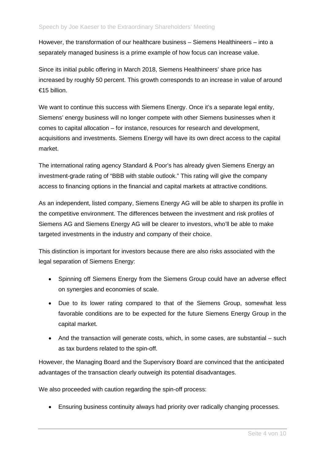However, the transformation of our healthcare business – Siemens Healthineers – into a separately managed business is a prime example of how focus can increase value.

Since its initial public offering in March 2018, Siemens Healthineers' share price has increased by roughly 50 percent. This growth corresponds to an increase in value of around €15 billion.

We want to continue this success with Siemens Energy. Once it's a separate legal entity, Siemens' energy business will no longer compete with other Siemens businesses when it comes to capital allocation – for instance, resources for research and development, acquisitions and investments. Siemens Energy will have its own direct access to the capital market.

The international rating agency Standard & Poor's has already given Siemens Energy an investment-grade rating of "BBB with stable outlook." This rating will give the company access to financing options in the financial and capital markets at attractive conditions.

As an independent, listed company, Siemens Energy AG will be able to sharpen its profile in the competitive environment. The differences between the investment and risk profiles of Siemens AG and Siemens Energy AG will be clearer to investors, who'll be able to make targeted investments in the industry and company of their choice.

This distinction is important for investors because there are also risks associated with the legal separation of Siemens Energy:

- Spinning off Siemens Energy from the Siemens Group could have an adverse effect on synergies and economies of scale.
- Due to its lower rating compared to that of the Siemens Group, somewhat less favorable conditions are to be expected for the future Siemens Energy Group in the capital market.
- And the transaction will generate costs, which, in some cases, are substantial such as tax burdens related to the spin-off.

However, the Managing Board and the Supervisory Board are convinced that the anticipated advantages of the transaction clearly outweigh its potential disadvantages.

We also proceeded with caution regarding the spin-off process:

• Ensuring business continuity always had priority over radically changing processes.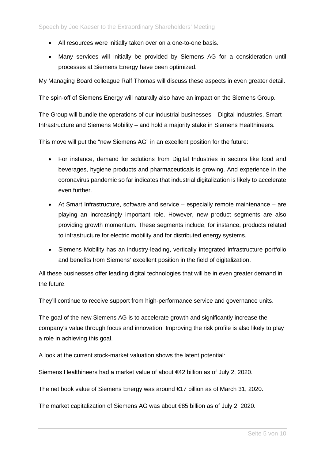- All resources were initially taken over on a one-to-one basis.
- Many services will initially be provided by Siemens AG for a consideration until processes at Siemens Energy have been optimized.

My Managing Board colleague Ralf Thomas will discuss these aspects in even greater detail.

The spin-off of Siemens Energy will naturally also have an impact on the Siemens Group.

The Group will bundle the operations of our industrial businesses – Digital Industries, Smart Infrastructure and Siemens Mobility – and hold a majority stake in Siemens Healthineers.

This move will put the "new Siemens AG" in an excellent position for the future:

- For instance, demand for solutions from Digital Industries in sectors like food and beverages, hygiene products and pharmaceuticals is growing. And experience in the coronavirus pandemic so far indicates that industrial digitalization is likely to accelerate even further.
- At Smart Infrastructure, software and service especially remote maintenance are playing an increasingly important role. However, new product segments are also providing growth momentum. These segments include, for instance, products related to infrastructure for electric mobility and for distributed energy systems.
- Siemens Mobility has an industry-leading, vertically integrated infrastructure portfolio and benefits from Siemens' excellent position in the field of digitalization.

All these businesses offer leading digital technologies that will be in even greater demand in the future.

They'll continue to receive support from high-performance service and governance units.

The goal of the new Siemens AG is to accelerate growth and significantly increase the company's value through focus and innovation. Improving the risk profile is also likely to play a role in achieving this goal.

A look at the current stock-market valuation shows the latent potential:

Siemens Healthineers had a market value of about €42 billion as of July 2, 2020.

The net book value of Siemens Energy was around €17 billion as of March 31, 2020.

The market capitalization of Siemens AG was about €85 billion as of July 2, 2020.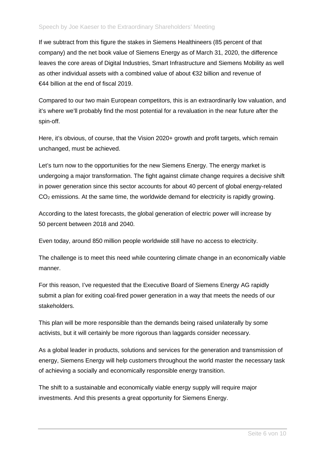## Speech by Joe Kaeser to the Extraordinary Shareholders' Meeting

If we subtract from this figure the stakes in Siemens Healthineers (85 percent of that company) and the net book value of Siemens Energy as of March 31, 2020, the difference leaves the core areas of Digital Industries, Smart Infrastructure and Siemens Mobility as well as other individual assets with a combined value of about €32 billion and revenue of €44 billion at the end of fiscal 2019.

Compared to our two main European competitors, this is an extraordinarily low valuation, and it's where we'll probably find the most potential for a revaluation in the near future after the spin-off.

Here, it's obvious, of course, that the Vision 2020+ growth and profit targets, which remain unchanged, must be achieved.

Let's turn now to the opportunities for the new Siemens Energy. The energy market is undergoing a major transformation. The fight against climate change requires a decisive shift in power generation since this sector accounts for about 40 percent of global energy-related  $CO<sub>2</sub>$  emissions. At the same time, the worldwide demand for electricity is rapidly growing.

According to the latest forecasts, the global generation of electric power will increase by 50 percent between 2018 and 2040.

Even today, around 850 million people worldwide still have no access to electricity.

The challenge is to meet this need while countering climate change in an economically viable manner.

For this reason, I've requested that the Executive Board of Siemens Energy AG rapidly submit a plan for exiting coal-fired power generation in a way that meets the needs of our stakeholders.

This plan will be more responsible than the demands being raised unilaterally by some activists, but it will certainly be more rigorous than laggards consider necessary.

As a global leader in products, solutions and services for the generation and transmission of energy, Siemens Energy will help customers throughout the world master the necessary task of achieving a socially and economically responsible energy transition.

The shift to a sustainable and economically viable energy supply will require major investments. And this presents a great opportunity for Siemens Energy.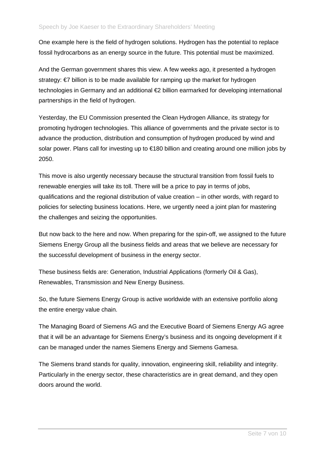One example here is the field of hydrogen solutions. Hydrogen has the potential to replace fossil hydrocarbons as an energy source in the future. This potential must be maximized.

And the German government shares this view. A few weeks ago, it presented a hydrogen strategy:  $\epsilon$  billion is to be made available for ramping up the market for hydrogen technologies in Germany and an additional €2 billion earmarked for developing international partnerships in the field of hydrogen.

Yesterday, the EU Commission presented the Clean Hydrogen Alliance, its strategy for promoting hydrogen technologies. This alliance of governments and the private sector is to advance the production, distribution and consumption of hydrogen produced by wind and solar power. Plans call for investing up to €180 billion and creating around one million jobs by 2050.

This move is also urgently necessary because the structural transition from fossil fuels to renewable energies will take its toll. There will be a price to pay in terms of jobs, qualifications and the regional distribution of value creation – in other words, with regard to policies for selecting business locations. Here, we urgently need a joint plan for mastering the challenges and seizing the opportunities.

But now back to the here and now. When preparing for the spin-off, we assigned to the future Siemens Energy Group all the business fields and areas that we believe are necessary for the successful development of business in the energy sector.

These business fields are: Generation, Industrial Applications (formerly Oil & Gas), Renewables, Transmission and New Energy Business.

So, the future Siemens Energy Group is active worldwide with an extensive portfolio along the entire energy value chain.

The Managing Board of Siemens AG and the Executive Board of Siemens Energy AG agree that it will be an advantage for Siemens Energy's business and its ongoing development if it can be managed under the names Siemens Energy and Siemens Gamesa.

The Siemens brand stands for quality, innovation, engineering skill, reliability and integrity. Particularly in the energy sector, these characteristics are in great demand, and they open doors around the world.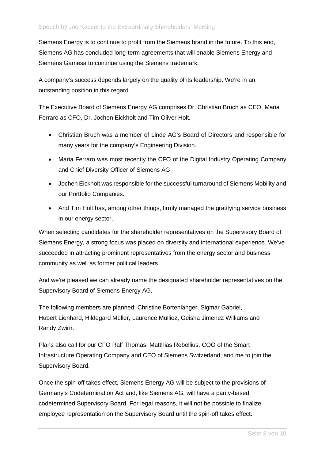Siemens Energy is to continue to profit from the Siemens brand in the future. To this end, Siemens AG has concluded long-term agreements that will enable Siemens Energy and Siemens Gamesa to continue using the Siemens trademark.

A company's success depends largely on the quality of its leadership. We're in an outstanding position in this regard.

The Executive Board of Siemens Energy AG comprises Dr. Christian Bruch as CEO, Maria Ferraro as CFO, Dr. Jochen Eickholt and Tim Oliver Holt.

- Christian Bruch was a member of Linde AG's Board of Directors and responsible for many years for the company's Engineering Division.
- Maria Ferraro was most recently the CFO of the Digital Industry Operating Company and Chief Diversity Officer of Siemens AG.
- Jochen Eickholt was responsible for the successful turnaround of Siemens Mobility and our Portfolio Companies.
- And Tim Holt has, among other things, firmly managed the gratifying service business in our energy sector.

When selecting candidates for the shareholder representatives on the Supervisory Board of Siemens Energy, a strong focus was placed on diversity and international experience. We've succeeded in attracting prominent representatives from the energy sector and business community as well as former political leaders.

And we're pleased we can already name the designated shareholder representatives on the Supervisory Board of Siemens Energy AG.

The following members are planned: Christine Bortenlänger, Sigmar Gabriel, Hubert Lienhard, Hildegard Müller, Laurence Mulliez, Geisha Jimenez Williams and Randy Zwirn.

Plans also call for our CFO Ralf Thomas; Matthias Rebellius, COO of the Smart Infrastructure Operating Company and CEO of Siemens Switzerland; and me to join the Supervisory Board.

Once the spin-off takes effect, Siemens Energy AG will be subject to the provisions of Germany's Codetermination Act and, like Siemens AG, will have a parity-based codetermined Supervisory Board. For legal reasons, it will not be possible to finalize employee representation on the Supervisory Board until the spin-off takes effect.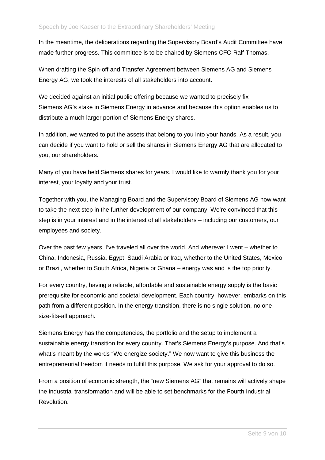In the meantime, the deliberations regarding the Supervisory Board's Audit Committee have made further progress. This committee is to be chaired by Siemens CFO Ralf Thomas.

When drafting the Spin-off and Transfer Agreement between Siemens AG and Siemens Energy AG, we took the interests of all stakeholders into account.

We decided against an initial public offering because we wanted to precisely fix Siemens AG's stake in Siemens Energy in advance and because this option enables us to distribute a much larger portion of Siemens Energy shares.

In addition, we wanted to put the assets that belong to you into your hands. As a result, you can decide if you want to hold or sell the shares in Siemens Energy AG that are allocated to you, our shareholders.

Many of you have held Siemens shares for years. I would like to warmly thank you for your interest, your loyalty and your trust.

Together with you, the Managing Board and the Supervisory Board of Siemens AG now want to take the next step in the further development of our company. We're convinced that this step is in your interest and in the interest of all stakeholders – including our customers, our employees and society.

Over the past few years, I've traveled all over the world. And wherever I went – whether to China, Indonesia, Russia, Egypt, Saudi Arabia or Iraq, whether to the United States, Mexico or Brazil, whether to South Africa, Nigeria or Ghana – energy was and is the top priority.

For every country, having a reliable, affordable and sustainable energy supply is the basic prerequisite for economic and societal development. Each country, however, embarks on this path from a different position. In the energy transition, there is no single solution, no onesize-fits-all approach.

Siemens Energy has the competencies, the portfolio and the setup to implement a sustainable energy transition for every country. That's Siemens Energy's purpose. And that's what's meant by the words "We energize society." We now want to give this business the entrepreneurial freedom it needs to fulfill this purpose. We ask for your approval to do so.

From a position of economic strength, the "new Siemens AG" that remains will actively shape the industrial transformation and will be able to set benchmarks for the Fourth Industrial Revolution.